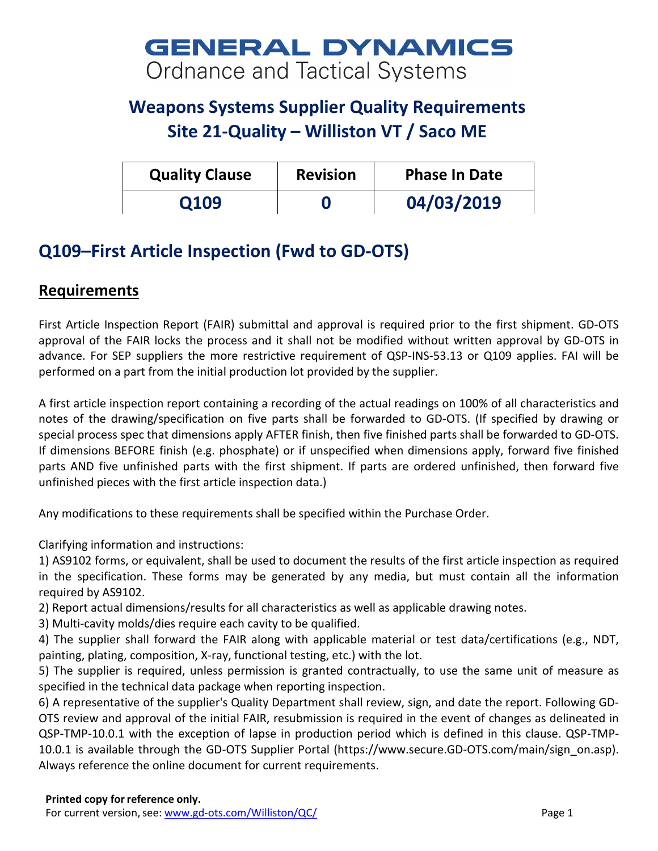## **GENERAL DYNAMICS** Ordnance and Tactical Systems

## **Weapons Systems Supplier Quality Requirements Site 21-Quality – Williston VT / Saco ME**

| <b>Quality Clause</b> | <b>Revision</b> | <b>Phase In Date</b> |
|-----------------------|-----------------|----------------------|
| Q109                  |                 | 04/03/2019           |

## **Q109–First Article Inspection (Fwd to GD-OTS)**

## **Requirements**

First Article Inspection Report (FAIR) submittal and approval is required prior to the first shipment. GD-OTS approval of the FAIR locks the process and it shall not be modified without written approval by GD-OTS in advance. For SEP suppliers the more restrictive requirement of QSP-INS-53.13 or Q109 applies. FAI will be performed on a part from the initial production lot provided by the supplier.

A first article inspection report containing a recording of the actual readings on 100% of all characteristics and notes of the drawing/specification on five parts shall be forwarded to GD-OTS. (If specified by drawing or special process spec that dimensions apply AFTER finish, then five finished parts shall be forwarded to GD-OTS. If dimensions BEFORE finish (e.g. phosphate) or if unspecified when dimensions apply, forward five finished parts AND five unfinished parts with the first shipment. If parts are ordered unfinished, then forward five unfinished pieces with the first article inspection data.)

Any modifications to these requirements shall be specified within the Purchase Order.

Clarifying information and instructions:

1) AS9102 forms, or equivalent, shall be used to document the results of the first article inspection as required in the specification. These forms may be generated by any media, but must contain all the information required by AS9102.

2) Report actual dimensions/results for all characteristics as well as applicable drawing notes.

3) Multi-cavity molds/dies require each cavity to be qualified.

4) The supplier shall forward the FAIR along with applicable material or test data/certifications (e.g., NDT, painting, plating, composition, X-ray, functional testing, etc.) with the lot.

5) The supplier is required, unless permission is granted contractually, to use the same unit of measure as specified in the technical data package when reporting inspection.

6) A representative of the supplier's Quality Department shall review, sign, and date the report. Following GD-OTS review and approval of the initial FAIR, resubmission is required in the event of changes as delineated in QSP-TMP-10.0.1 with the exception of lapse in production period which is defined in this clause. QSP-TMP-10.0.1 is available through the GD-OTS Supplier Portal (https://www.secure.GD-OTS.com/main/sign\_on.asp). Always reference the online document for current requirements.